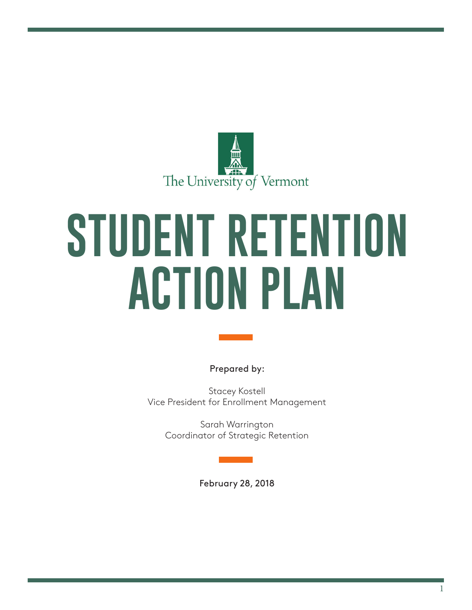

# **STUDENT RETENTION ACTION PLAN**

Prepared by:

Stacey Kostell Vice President for Enrollment Management

> Sarah Warrington Coordinator of Strategic Retention

> > February 28, 2018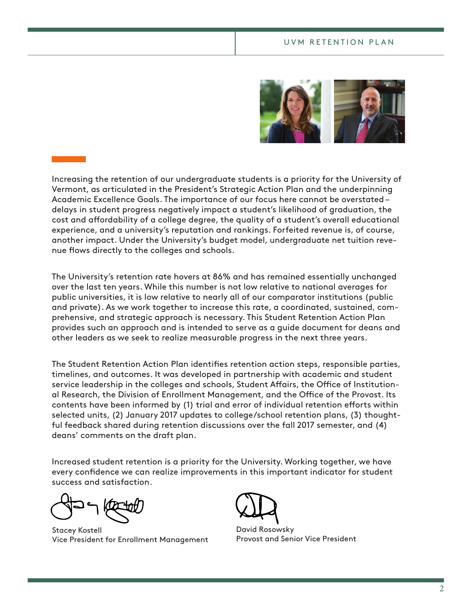

Increasing the retention of our undergraduate students is a priority for the University of Vermont, as articulated in the President's Strategic Action Plan and the underpinning Academic Excellence Goals. The importance of our focus here cannot be overstated – delays in student progress negatively impact a student's likelihood of graduation, the cost and afordability of a college degree, the quality of a student's overall educational experience, and a university's reputation and rankings. Forfeited revenue is, of course, another impact. Under the University's budget model, undergraduate net tuition revenue flows directly to the colleges and schools.

The University's retention rate hovers at 86% and has remained essentially unchanged over the last ten years. While this number is not low relative to national averages for public universities, it is low relative to nearly all of our comparator institutions (public and private). As we work together to increase this rate, a coordinated, sustained, comprehensive, and strategic approach is necessary. This Student Retention Action Plan provides such an approach and is intended to serve as a guide document for deans and other leaders as we seek to realize measurable progress in the next three years.

The Student Retention Action Plan identifes retention action steps, responsible parties, timelines, and outcomes. It was developed in partnership with academic and student service leadership in the colleges and schools, Student Affairs, the Office of Institutional Research, the Division of Enrollment Management, and the Office of the Provost. Its contents have been informed by (1) trial and error of individual retention eforts within selected units, (2) January 2017 updates to college/school retention plans, (3) thoughtful feedback shared during retention discussions over the fall 2017 semester, and (4) deans' comments on the draft plan.

Increased student retention is a priority for the University. Working together, we have every confdence we can realize improvements in this important indicator for student success and satisfaction.

Stacey Kostell Vice President for Enrollment Management



David Rosowsky Provost and Senior Vice President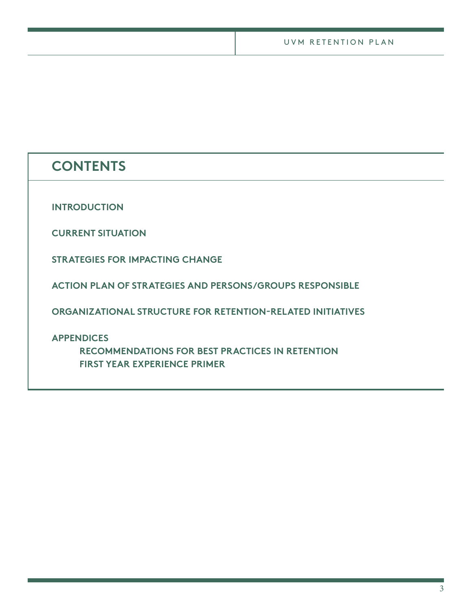# **CONTENTS**

**INTRODUCTION**

**CURRENT SITUATION**

**STRATEGIES FOR IMPACTING CHANGE**

**ACTION PLAN OF STRATEGIES AND PERSONS/GROUPS RESPONSIBLE**

**ORGANIZATIONAL STRUCTURE FOR RETENTION-RELATED INITIATIVES**

**APPENDICES**

**RECOMMENDATIONS FOR BEST PRACTICES IN RETENTION FIRST YEAR EXPERIENCE PRIMER**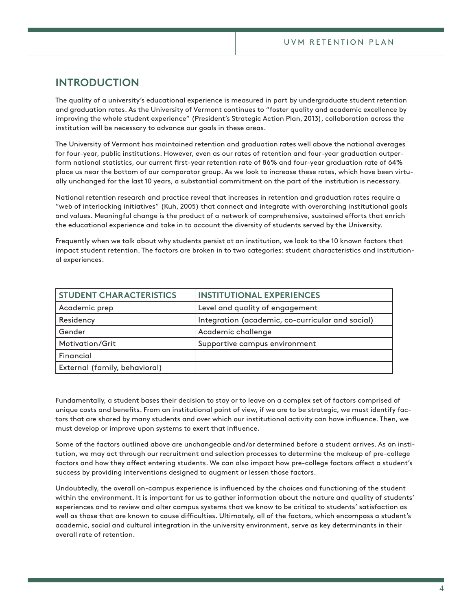## **INTRODUCTION**

The quality of a university's educational experience is measured in part by undergraduate student retention and graduation rates. As the University of Vermont continues to "foster quality and academic excellence by improving the whole student experience" (President's Strategic Action Plan, 2013), collaboration across the institution will be necessary to advance our goals in these areas.

The University of Vermont has maintained retention and graduation rates well above the national averages for four-year, public institutions. However, even as our rates of retention and four-year graduation outperform national statistics, our current frst-year retention rate of 86% and four-year graduation rate of 64% place us near the bottom of our comparator group. As we look to increase these rates, which have been virtually unchanged for the last 10 years, a substantial commitment on the part of the institution is necessary.

National retention research and practice reveal that increases in retention and graduation rates require a "web of interlocking initiatives" (Kuh, 2005) that connect and integrate with overarching institutional goals and values. Meaningful change is the product of a network of comprehensive, sustained efforts that enrich the educational experience and take in to account the diversity of students served by the University.

Frequently when we talk about why students persist at an institution, we look to the 10 known factors that impact student retention. The factors are broken in to two categories: student characteristics and institutional experiences.

| <b>STUDENT CHARACTERISTICS</b> | <b>INSTITUTIONAL EXPERIENCES</b>                 |
|--------------------------------|--------------------------------------------------|
| Academic prep                  | Level and quality of engagement                  |
| Residency                      | Integration (academic, co-curricular and social) |
| Gender                         | Academic challenge                               |
| Motivation/Grit                | Supportive campus environment                    |
| Financial                      |                                                  |
| External (family, behavioral)  |                                                  |

Fundamentally, a student bases their decision to stay or to leave on a complex set of factors comprised of unique costs and benefts. From an institutional point of view, if we are to be strategic, we must identify factors that are shared by many students and over which our institutional activity can have infuence. Then, we must develop or improve upon systems to exert that infuence.

Some of the factors outlined above are unchangeable and/or determined before a student arrives. As an institution, we may act through our recruitment and selection processes to determine the makeup of pre-college factors and how they affect entering students. We can also impact how pre-college factors affect a student's success by providing interventions designed to augment or lessen those factors.

Undoubtedly, the overall on-campus experience is infuenced by the choices and functioning of the student within the environment. It is important for us to gather information about the nature and quality of students' experiences and to review and alter campus systems that we know to be critical to students' satisfaction as well as those that are known to cause difficulties. Ultimately, all of the factors, which encompass a student's academic, social and cultural integration in the university environment, serve as key determinants in their overall rate of retention.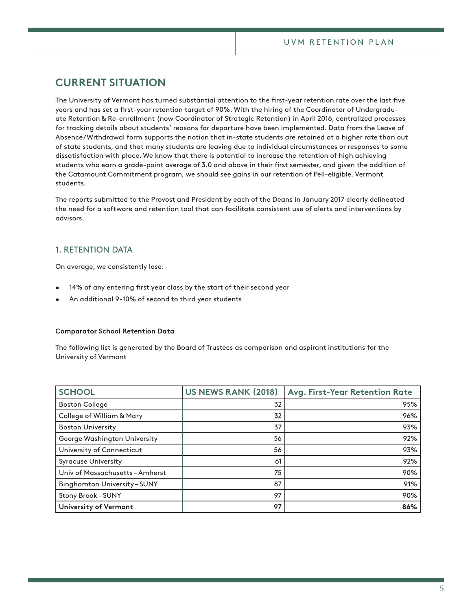# **CURRENT SITUATION**

The University of Vermont has turned substantial attention to the frst-year retention rate over the last fve years and has set a frst-year retention target of 90%. With the hiring of the Coordinator of Undergraduate Retention & Re-enrollment (now Coordinator of Strategic Retention) in April 2016, centralized processes for tracking details about students' reasons for departure have been implemented. Data from the Leave of Absence/Withdrawal form supports the notion that in-state students are retained at a higher rate than out of state students, and that many students are leaving due to individual circumstances or responses to some dissatisfaction with place. We know that there is potential to increase the retention of high achieving students who earn a grade-point average of 3.0 and above in their frst semester, and given the addition of the Catamount Commitment program, we should see gains in our retention of Pell-eligible, Vermont students.

The reports submitted to the Provost and President by each of the Deans in January 2017 clearly delineated the need for a software and retention tool that can facilitate consistent use of alerts and interventions by advisors.

## 1. RETENTION DATA

On average, we consistently lose:

- 14% of any entering frst year class by the start of their second year
- An additional 9-10% of second to third year students

## **Comparator School Retention Data**

The following list is generated by the Board of Trustees as comparison and aspirant institutions for the University of Vermont

| <b>SCHOOL</b>                        | <b>US NEWS RANK (2018)</b> | Avg. First-Year Retention Rate |
|--------------------------------------|----------------------------|--------------------------------|
| <b>Boston College</b>                | 32                         | 95%                            |
| <b>College of William &amp; Mary</b> | 32                         | 96%                            |
| <b>Boston University</b>             | 37                         | 93%                            |
| George Washington University         | 56                         | 92%                            |
| University of Connecticut            | 56                         | 93%                            |
| <b>Syracuse University</b>           | 61                         | 92%                            |
| Univ of Massachusetts-Amherst        | 75                         | 90%                            |
| <b>Binghamton University-SUNY</b>    | 87                         | 91%                            |
| Stony Brook-SUNY                     | 97                         | 90%                            |
| University of Vermont                | 97                         | 86%                            |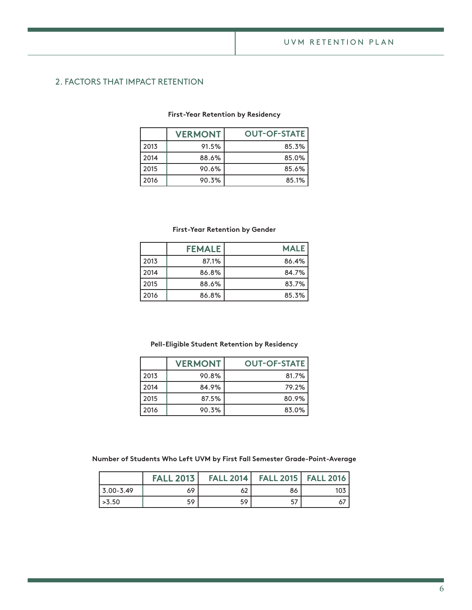## 2. FACTORS THAT IMPACT RETENTION

## **First-Year Retention by Residency**

|      | <b>VERMONT</b> | <b>OUT-OF-STATE</b> |
|------|----------------|---------------------|
| 2013 | 91.5%          | 85.3%               |
| 2014 | 88.6%          | 85.0%               |
| 2015 | 90.6%          | 85.6%               |
| 2016 | 90.3%          | 85.1%               |

## **First-Year Retention by Gender**

|      | <b>FEMALE</b> | <b>MALE</b> |
|------|---------------|-------------|
| 2013 | 87.1%         | 86.4%       |
| 2014 | 86.8%         | 84.7%       |
| 2015 | 88.6%         | 83.7%       |
| 2016 | 86.8%         | 85.3%       |

## **Pell-Eligible Student Retention by Residency**

|      | <b>VERMONT</b> | <b>OUT-OF-STATE</b> |
|------|----------------|---------------------|
| 2013 | 90.8%          | 81.7%               |
| 2014 | 84.9%          | 79.2%               |
| 2015 | 87.5%          | 80.9%               |
| 2016 | 90.3%          | 83.0%               |

## **Number of Students Who Left UVM by First Fall Semester Grade-Point-Average**

|                | <b>FALL 2013</b> | <b>FALL 2014</b> |    | <b>FALL 2015   FALL 2016  </b> |
|----------------|------------------|------------------|----|--------------------------------|
| $13.00 - 3.49$ | 69               | 62               | 86 | 103                            |
| $\sim$ 3.50    | 59               | 59               | 57 |                                |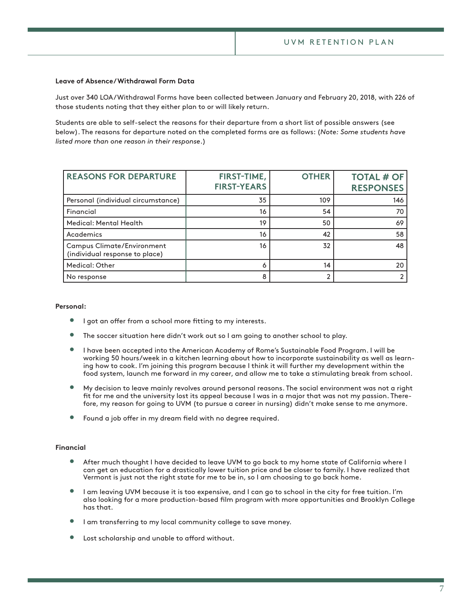### **Leave of Absence/Withdrawal Form Data**

Just over 340 LOA/Withdrawal Forms have been collected between January and February 20, 2018, with 226 of those students noting that they either plan to or will likely return.

Students are able to self-select the reasons for their departure from a short list of possible answers (see below). The reasons for departure noted on the completed forms are as follows: (*Note: Some students have listed more than one reason in their response*.)

| <b>REASONS FOR DEPARTURE</b>                                        | FIRST-TIME,<br><b>FIRST-YEARS</b> | <b>OTHER</b> | <b>TOTAL # OF</b><br><b>RESPONSES</b> |
|---------------------------------------------------------------------|-----------------------------------|--------------|---------------------------------------|
| Personal (individual circumstance)                                  | 35                                | 109          | 146                                   |
| Financial                                                           | 16                                | 54           | 70                                    |
| Medical: Mental Health                                              | 19                                | 50           | 69                                    |
| Academics                                                           | 16                                | 42           | 58                                    |
| <b>Campus Climate/Environment</b><br>(individual response to place) | 16                                | 32           | 48                                    |
| Medical: Other                                                      |                                   | 14           | 20                                    |
| No response                                                         | 8                                 |              |                                       |

#### **Personal:**

- I got an offer from a school more fitting to my interests.
- The soccer situation here didn't work out so I am going to another school to play.
- I have been accepted into the American Academy of Rome's Sustainable Food Program. I will be working 50 hours/week in a kitchen learning about how to incorporate sustainability as well as learning how to cook. I'm joining this program because I think it will further my development within the food system, launch me forward in my career, and allow me to take a stimulating break from school.
- My decision to leave mainly revolves around personal reasons. The social environment was not a right ft for me and the university lost its appeal because I was in a major that was not my passion. Therefore, my reason for going to UVM (to pursue a career in nursing) didn't make sense to me anymore.
- Found a job offer in my dream field with no degree required.

#### **Financial**

- After much thought I have decided to leave UVM to go back to my home state of California where I can get an education for a drastically lower tuition price and be closer to family. I have realized that Vermont is just not the right state for me to be in, so I am choosing to go back home.
- I am leaving UVM because it is too expensive, and I can go to school in the city for free tuition. I'm also looking for a more production-based flm program with more opportunities and Brooklyn College has that.
- I am transferring to my local community college to save money.
- Lost scholarship and unable to afford without.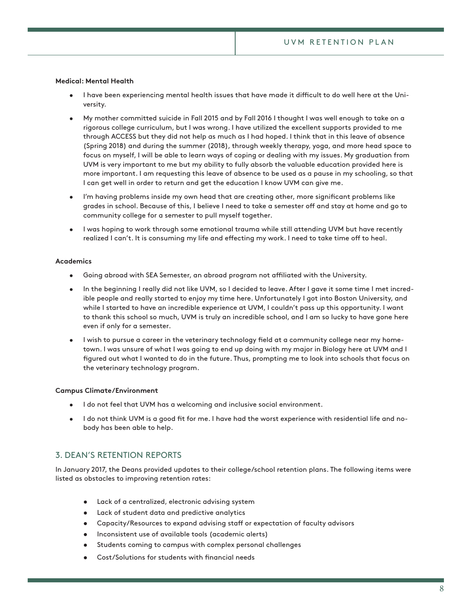## **Medical: Mental Health**

- I have been experiencing mental health issues that have made it difficult to do well here at the University.
- My mother committed suicide in Fall 2015 and by Fall 2016 I thought I was well enough to take on a rigorous college curriculum, but I was wrong. I have utilized the excellent supports provided to me through ACCESS but they did not help as much as I had hoped. I think that in this leave of absence (Spring 2018) and during the summer (2018), through weekly therapy, yoga, and more head space to focus on myself, I will be able to learn ways of coping or dealing with my issues. My graduation from UVM is very important to me but my ability to fully absorb the valuable education provided here is more important. I am requesting this leave of absence to be used as a pause in my schooling, so that I can get well in order to return and get the education I know UVM can give me.
- I'm having problems inside my own head that are creating other, more signifcant problems like grades in school. Because of this, I believe I need to take a semester of and stay at home and go to community college for a semester to pull myself together.
- I was hoping to work through some emotional trauma while still attending UVM but have recently realized I can't. It is consuming my life and effecting my work. I need to take time off to heal.

#### **Academics**

- Going abroad with SEA Semester, an abroad program not afliated with the University.
- In the beginning I really did not like UVM, so I decided to leave. After I gave it some time I met incredible people and really started to enjoy my time here. Unfortunately I got into Boston University, and while I started to have an incredible experience at UVM, I couldn't pass up this opportunity. I want to thank this school so much, UVM is truly an incredible school, and I am so lucky to have gone here even if only for a semester.
- I wish to pursue a career in the veterinary technology feld at a community college near my hometown. I was unsure of what I was going to end up doing with my major in Biology here at UVM and I fgured out what I wanted to do in the future. Thus, prompting me to look into schools that focus on the veterinary technology program.

#### **Campus Climate/Environment**

- I do not feel that UVM has a welcoming and inclusive social environment.
- I do not think UVM is a good ft for me. I have had the worst experience with residential life and nobody has been able to help.

## 3. DEAN'S RETENTION REPORTS

In January 2017, the Deans provided updates to their college/school retention plans. The following items were listed as obstacles to improving retention rates:

- Lack of a centralized, electronic advising system
- Lack of student data and predictive analytics
- Capacity/Resources to expand advising staff or expectation of faculty advisors
- Inconsistent use of available tools (academic alerts)
- Students coming to campus with complex personal challenges
- Cost/Solutions for students with fnancial needs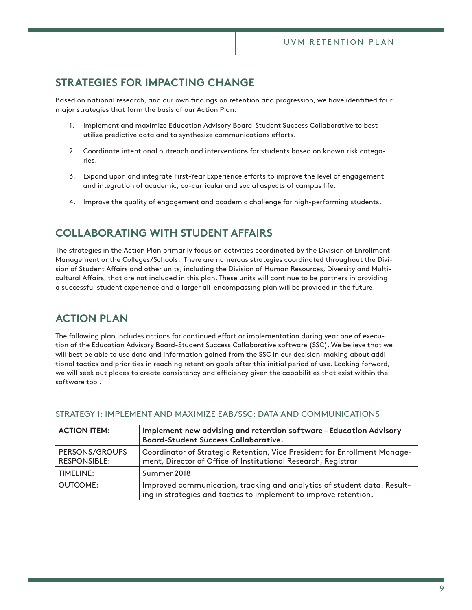# **STRATEGIES FOR IMPACTING CHANGE**

Based on national research, and our own fndings on retention and progression, we have identifed four major strategies that form the basis of our Action Plan:

- 1. Implement and maximize Education Advisory Board-Student Success Collaborative to best utilize predictive data and to synthesize communications efforts.
- 2. Coordinate intentional outreach and interventions for students based on known risk categories.
- 3. Expand upon and integrate First-Year Experience eforts to improve the level of engagement and integration of academic, co-curricular and social aspects of campus life.
- 4. Improve the quality of engagement and academic challenge for high-performing students.

# **COLLABORATING WITH STUDENT AFFAIRS**

The strategies in the Action Plan primarily focus on activities coordinated by the Division of Enrollment Management or the Colleges/Schools. There are numerous strategies coordinated throughout the Division of Student Afairs and other units, including the Division of Human Resources, Diversity and Multicultural Afairs, that are not included in this plan. These units will continue to be partners in providing a successful student experience and a larger all-encompassing plan will be provided in the future.

# **ACTION PLAN**

The following plan includes actions for continued effort or implementation during year one of execution of the Education Advisory Board-Student Success Collaborative software (SSC). We believe that we will best be able to use data and information gained from the SSC in our decision-making about additional tactics and priorities in reaching retention goals after this initial period of use. Looking forward, we will seek out places to create consistency and efficiency given the capabilities that exist within the software tool.

| <b>ACTION ITEM:</b>                   | Implement new advising and retention software-Education Advisory<br><b>Board-Student Success Collaborative.</b>                             |
|---------------------------------------|---------------------------------------------------------------------------------------------------------------------------------------------|
| PERSONS/GROUPS<br><b>RESPONSIBLE:</b> | Coordinator of Strategic Retention, Vice President for Enrollment Manage-<br>ment, Director of Office of Institutional Research, Registrar  |
| TIMELINE:                             | Summer 2018                                                                                                                                 |
| OUTCOME:                              | Improved communication, tracking and analytics of student data. Result-<br>ing in strategies and tactics to implement to improve retention. |

## STRATEGY 1: IMPLEMENT AND MAXIMIZE EAB/SSC: DATA AND COMMUNICATIONS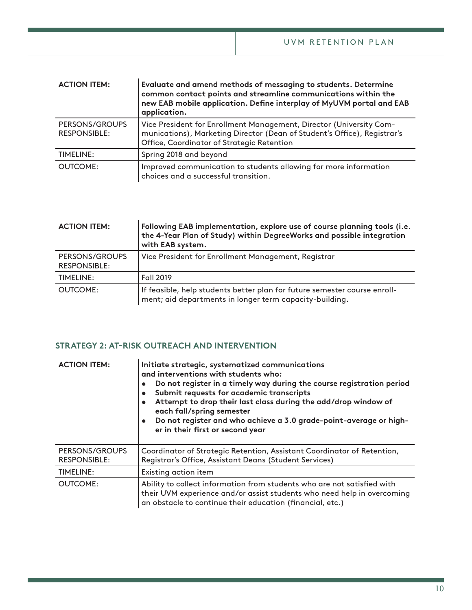| <b>ACTION ITEM:</b>                   | Evaluate and amend methods of messaging to students. Determine<br>common contact points and streamline communications within the<br>new EAB mobile application. Define interplay of MyUVM portal and EAB<br>application. |
|---------------------------------------|--------------------------------------------------------------------------------------------------------------------------------------------------------------------------------------------------------------------------|
| PERSONS/GROUPS<br><b>RESPONSIBLE:</b> | Vice President for Enrollment Management, Director (University Com-<br>munications), Marketing Director (Dean of Student's Office), Registrar's<br>Office, Coordinator of Strategic Retention                            |
| <b>TIMELINE:</b>                      | Spring 2018 and beyond                                                                                                                                                                                                   |
| <b>OUTCOME:</b>                       | Improved communication to students allowing for more information<br>choices and a successful transition.                                                                                                                 |

| <b>ACTION ITEM:</b>                   | Following EAB implementation, explore use of course planning tools (i.e.<br>the 4-Year Plan of Study) within DegreeWorks and possible integration<br>with EAB system. |
|---------------------------------------|-----------------------------------------------------------------------------------------------------------------------------------------------------------------------|
| PERSONS/GROUPS<br><b>RESPONSIBLE:</b> | Vice President for Enrollment Management, Registrar                                                                                                                   |
| <b>TIMELINE:</b>                      | <b>Fall 2019</b>                                                                                                                                                      |
| <b>OUTCOME:</b>                       | If feasible, help students better plan for future semester course enroll-<br>ment; aid departments in longer term capacity-building.                                  |

## **STRATEGY 2: AT-RISK OUTREACH AND INTERVENTION**

| <b>ACTION ITEM:</b>                   | Initiate strategic, systematized communications<br>and interventions with students who:<br>Do not register in a timely way during the course registration period<br>$\bullet$<br>Submit requests for academic transcripts<br>$\bullet$<br>Attempt to drop their last class during the add/drop window of<br>$\bullet$<br>each fall/spring semester<br>Do not register and who achieve a 3.0 grade-point-average or high-<br>$\bullet$<br>er in their first or second year |
|---------------------------------------|---------------------------------------------------------------------------------------------------------------------------------------------------------------------------------------------------------------------------------------------------------------------------------------------------------------------------------------------------------------------------------------------------------------------------------------------------------------------------|
| PERSONS/GROUPS<br><b>RESPONSIBLE:</b> | Coordinator of Strategic Retention, Assistant Coordinator of Retention,<br>Registrar's Office, Assistant Deans (Student Services)                                                                                                                                                                                                                                                                                                                                         |
| TIMELINE:                             | Existing action item                                                                                                                                                                                                                                                                                                                                                                                                                                                      |
| <b>OUTCOME:</b>                       | Ability to collect information from students who are not satisfied with<br>their UVM experience and/or assist students who need help in overcoming<br>an obstacle to continue their education (financial, etc.)                                                                                                                                                                                                                                                           |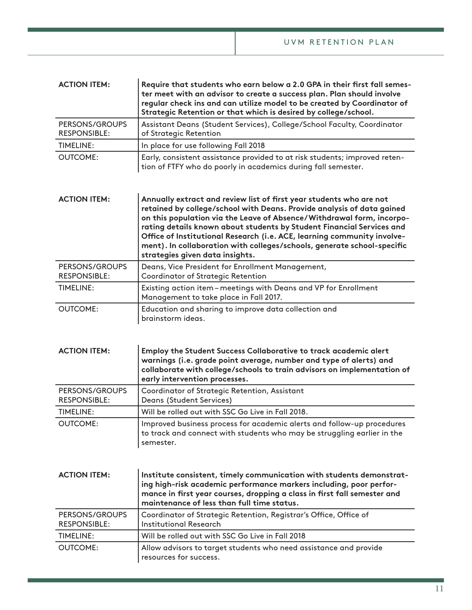| <b>ACTION ITEM:</b>                   | Require that students who earn below a 2.0 GPA in their first fall semes-<br>ter meet with an advisor to create a success plan. Plan should involve<br>regular check ins and can utilize model to be created by Coordinator of<br>Strategic Retention or that which is desired by college/school.                                                                                                                                                                                        |
|---------------------------------------|------------------------------------------------------------------------------------------------------------------------------------------------------------------------------------------------------------------------------------------------------------------------------------------------------------------------------------------------------------------------------------------------------------------------------------------------------------------------------------------|
| PERSONS/GROUPS<br><b>RESPONSIBLE:</b> | Assistant Deans (Student Services), College/School Faculty, Coordinator<br>of Strategic Retention                                                                                                                                                                                                                                                                                                                                                                                        |
| <b>TIMELINE:</b>                      | In place for use following Fall 2018                                                                                                                                                                                                                                                                                                                                                                                                                                                     |
| <b>OUTCOME:</b>                       | Early, consistent assistance provided to at risk students; improved reten-<br>tion of FTFY who do poorly in academics during fall semester.                                                                                                                                                                                                                                                                                                                                              |
| <b>ACTION ITEM:</b>                   | Annually extract and review list of first year students who are not<br>retained by college/school with Deans. Provide analysis of data gained<br>on this population via the Leave of Absence/Withdrawal form, incorpo-<br>rating details known about students by Student Financial Services and<br>Office of Institutional Research (i.e. ACE, learning community involve-<br>ment). In collaboration with colleges/schools, generate school-specific<br>strategies given data insights. |
| PERSONS/GROUPS<br><b>RESPONSIBLE:</b> | Deans, Vice President for Enrollment Management,<br><b>Coordinator of Strategic Retention</b>                                                                                                                                                                                                                                                                                                                                                                                            |
| <b>TIMELINE:</b>                      | Existing action item-meetings with Deans and VP for Enrollment<br>Management to take place in Fall 2017.                                                                                                                                                                                                                                                                                                                                                                                 |
| <b>OUTCOME:</b>                       | Education and sharing to improve data collection and<br>brainstorm ideas.                                                                                                                                                                                                                                                                                                                                                                                                                |
| <b>ACTION ITEM:</b>                   | Employ the Student Success Collaborative to track academic alert<br>warnings (i.e. grade point average, number and type of alerts) and<br>collaborate with college/schools to train advisors on implementation of<br>early intervention processes.                                                                                                                                                                                                                                       |
| PERSONS/GROUPS<br><b>RESPONSIBLE:</b> | Coordinator of Strategic Retention, Assistant<br>Deans (Student Services)                                                                                                                                                                                                                                                                                                                                                                                                                |
| TIMELINE:                             | Will be rolled out with SSC Go Live in Fall 2018.                                                                                                                                                                                                                                                                                                                                                                                                                                        |
| <b>OUTCOME:</b>                       | Improved business process for academic alerts and follow-up procedures<br>to track and connect with students who may be struggling earlier in the<br>semester.                                                                                                                                                                                                                                                                                                                           |
| <b>ACTION ITEM:</b>                   | Institute consistent, timely communication with students demonstrat-<br>ing high-risk academic performance markers including, poor perfor-<br>mance in first year courses, dropping a class in first fall semester and<br>maintenance of less than full time status.                                                                                                                                                                                                                     |
| PERSONS/GROUPS<br><b>RESPONSIBLE:</b> | Coordinator of Strategic Retention, Registrar's Office, Office of<br><b>Institutional Research</b>                                                                                                                                                                                                                                                                                                                                                                                       |
| <b>TIMELINE:</b>                      | Will be rolled out with SSC Go Live in Fall 2018                                                                                                                                                                                                                                                                                                                                                                                                                                         |
| <b>OUTCOME:</b>                       | Allow advisors to target students who need assistance and provide<br>resources for success.                                                                                                                                                                                                                                                                                                                                                                                              |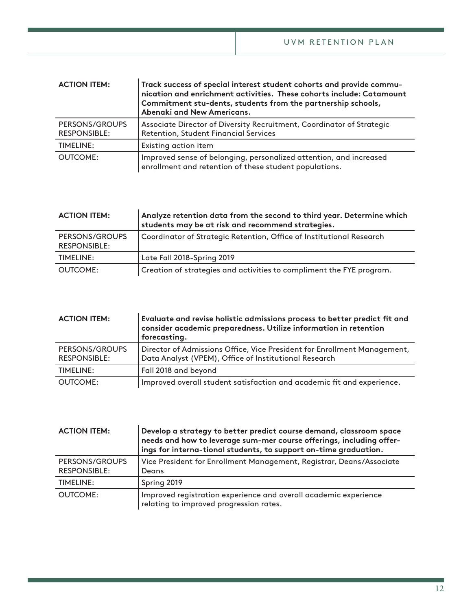| <b>ACTION ITEM:</b>                   | Track success of special interest student cohorts and provide commu-<br>nication and enrichment activities. These cohorts include: Catamount<br>Commitment stu-dents, students from the partnership schools,<br>Abenaki and New Americans. |
|---------------------------------------|--------------------------------------------------------------------------------------------------------------------------------------------------------------------------------------------------------------------------------------------|
| PERSONS/GROUPS<br><b>RESPONSIBLE:</b> | Associate Director of Diversity Recruitment, Coordinator of Strategic<br><b>Retention, Student Financial Services</b>                                                                                                                      |
| <b>TIMELINE:</b>                      | Existing action item                                                                                                                                                                                                                       |
| OUTCOME:                              | Improved sense of belonging, personalized attention, and increased<br>enrollment and retention of these student populations.                                                                                                               |

| <b>ACTION ITEM:</b>                   | Analyze retention data from the second to third year. Determine which<br>students may be at risk and recommend strategies. |
|---------------------------------------|----------------------------------------------------------------------------------------------------------------------------|
| PERSONS/GROUPS<br><b>RESPONSIBLE:</b> | Coordinator of Strategic Retention, Office of Institutional Research                                                       |
| TIMELINE:                             | Late Fall 2018-Spring 2019                                                                                                 |
| OUTCOME:                              | Creation of strategies and activities to compliment the FYE program.                                                       |

| <b>ACTION ITEM:</b>                   | Evaluate and revise holistic admissions process to better predict fit and<br>consider academic preparedness. Utilize information in retention<br>forecasting. |
|---------------------------------------|---------------------------------------------------------------------------------------------------------------------------------------------------------------|
| PERSONS/GROUPS<br><b>RESPONSIBLE:</b> | Director of Admissions Office, Vice President for Enrollment Management,<br>Data Analyst (VPEM), Office of Institutional Research                             |
| <b>TIMELINE:</b>                      | Fall 2018 and beyond                                                                                                                                          |
| <b>OUTCOME:</b>                       | Improved overall student satisfaction and academic fit and experience.                                                                                        |

| <b>ACTION ITEM:</b>                   | Develop a strategy to better predict course demand, classroom space<br>needs and how to leverage sum-mer course offerings, including offer-<br>ings for interna-tional students, to support on-time graduation. |
|---------------------------------------|-----------------------------------------------------------------------------------------------------------------------------------------------------------------------------------------------------------------|
| PERSONS/GROUPS<br><b>RESPONSIBLE:</b> | Vice President for Enrollment Management, Registrar, Deans/Associate<br>Deans                                                                                                                                   |
| <b>TIMELINE:</b>                      | Spring 2019                                                                                                                                                                                                     |
| <b>OUTCOME:</b>                       | Improved registration experience and overall academic experience<br>relating to improved progression rates.                                                                                                     |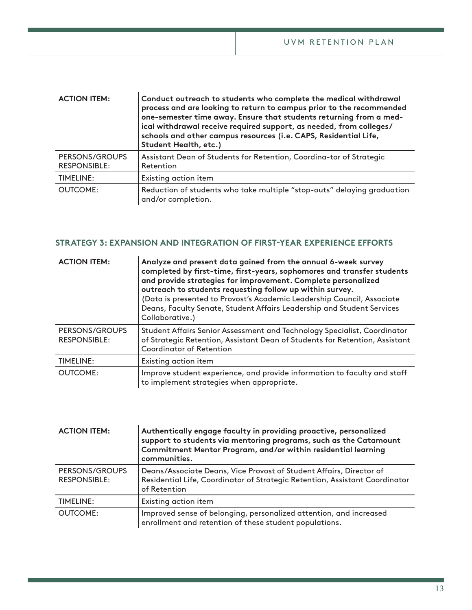| <b>ACTION ITEM:</b>                   | Conduct outreach to students who complete the medical withdrawal<br>process and are looking to return to campus prior to the recommended<br>one-semester time away. Ensure that students returning from a med-<br>ical withdrawal receive required support, as needed, from colleges/<br>schools and other campus resources (i.e. CAPS, Residential Life,<br>Student Health, etc.) |
|---------------------------------------|------------------------------------------------------------------------------------------------------------------------------------------------------------------------------------------------------------------------------------------------------------------------------------------------------------------------------------------------------------------------------------|
| PERSONS/GROUPS<br><b>RESPONSIBLE:</b> | Assistant Dean of Students for Retention, Coordina-tor of Strategic<br>Retention                                                                                                                                                                                                                                                                                                   |
| TIMELINE:                             | Existing action item                                                                                                                                                                                                                                                                                                                                                               |
| OUTCOME:                              | Reduction of students who take multiple "stop-outs" delaying graduation<br>and/or completion.                                                                                                                                                                                                                                                                                      |

## **STRATEGY 3: EXPANSION AND INTEGRATION OF FIRST-YEAR EXPERIENCE EFFORTS**

| <b>ACTION ITEM:</b>                   | Analyze and present data gained from the annual 6-week survey<br>completed by first-time, first-years, sophomores and transfer students<br>and provide strategies for improvement. Complete personalized<br>outreach to students requesting follow up within survey.<br>(Data is presented to Provost's Academic Leadership Council, Associate<br>Deans, Faculty Senate, Student Affairs Leadership and Student Services<br>Collaborative.) |
|---------------------------------------|---------------------------------------------------------------------------------------------------------------------------------------------------------------------------------------------------------------------------------------------------------------------------------------------------------------------------------------------------------------------------------------------------------------------------------------------|
| PERSONS/GROUPS<br><b>RESPONSIBLE:</b> | Student Affairs Senior Assessment and Technology Specialist, Coordinator<br>of Strategic Retention, Assistant Dean of Students for Retention, Assistant<br><b>Coordinator of Retention</b>                                                                                                                                                                                                                                                  |
| TIMELINE:                             | Existing action item                                                                                                                                                                                                                                                                                                                                                                                                                        |
| <b>OUTCOME:</b>                       | Improve student experience, and provide information to faculty and staff<br>to implement strategies when appropriate.                                                                                                                                                                                                                                                                                                                       |

| <b>ACTION ITEM:</b>                   | Authentically engage faculty in providing proactive, personalized<br>support to students via mentoring programs, such as the Catamount<br>Commitment Mentor Program, and/or within residential learning<br>communities. |
|---------------------------------------|-------------------------------------------------------------------------------------------------------------------------------------------------------------------------------------------------------------------------|
| PERSONS/GROUPS<br><b>RESPONSIBLE:</b> | Deans/Associate Deans, Vice Provost of Student Affairs, Director of<br>Residential Life, Coordinator of Strategic Retention, Assistant Coordinator<br>of Retention                                                      |
| <b>TIMELINE:</b>                      | Existing action item                                                                                                                                                                                                    |
| <b>OUTCOME:</b>                       | Improved sense of belonging, personalized attention, and increased<br>enrollment and retention of these student populations.                                                                                            |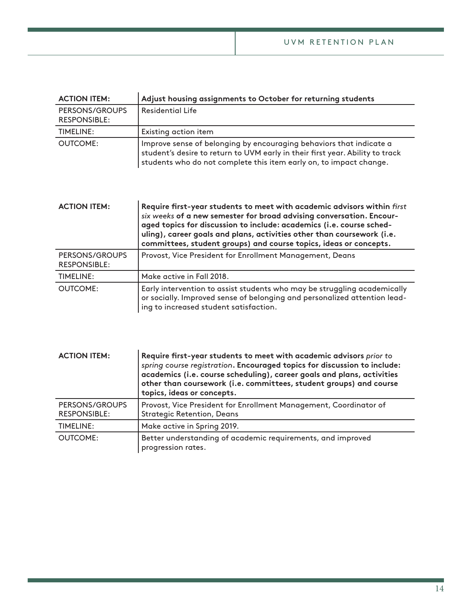| <b>ACTION ITEM:</b>                   | Adjust housing assignments to October for returning students                                                                                                                                                                                                                                                                                                           |
|---------------------------------------|------------------------------------------------------------------------------------------------------------------------------------------------------------------------------------------------------------------------------------------------------------------------------------------------------------------------------------------------------------------------|
| PERSONS/GROUPS<br><b>RESPONSIBLE:</b> | <b>Residential Life</b>                                                                                                                                                                                                                                                                                                                                                |
| <b>TIMELINE:</b>                      | Existing action item                                                                                                                                                                                                                                                                                                                                                   |
| <b>OUTCOME:</b>                       | Improve sense of belonging by encouraging behaviors that indicate a<br>student's desire to return to UVM early in their first year. Ability to track<br>students who do not complete this item early on, to impact change.                                                                                                                                             |
| <b>ACTION ITEM:</b>                   | Require first-year students to meet with academic advisors within first<br>six weeks of a new semester for broad advising conversation. Encour-<br>aged topics for discussion to include: academics (i.e. course sched-<br>uling), career goals and plans, activities other than coursework (i.e.<br>committees, student groups) and course topics, ideas or concepts. |
| PERSONS/GROUPS<br><b>RESPONSIBLE:</b> | Provost, Vice President for Enrollment Management, Deans                                                                                                                                                                                                                                                                                                               |
| <b>TIMELINE:</b>                      | Make active in Fall 2018.                                                                                                                                                                                                                                                                                                                                              |
| <b>OUTCOME:</b>                       | Early intervention to assist students who may be struggling academically<br>or socially. Improved sense of belonging and personalized attention lead-<br>ing to increased student satisfaction.                                                                                                                                                                        |

| <b>ACTION ITEM:</b>                   | Require first-year students to meet with academic advisors prior to<br>spring course registration. Encouraged topics for discussion to include:<br>academics (i.e. course scheduling), career goals and plans, activities<br>other than coursework (i.e. committees, student groups) and course<br>topics, ideas or concepts. |
|---------------------------------------|-------------------------------------------------------------------------------------------------------------------------------------------------------------------------------------------------------------------------------------------------------------------------------------------------------------------------------|
| PERSONS/GROUPS<br><b>RESPONSIBLE:</b> | Provost, Vice President for Enrollment Management, Coordinator of<br><b>Strategic Retention, Deans</b>                                                                                                                                                                                                                        |
| TIMELINE:                             | Make active in Spring 2019.                                                                                                                                                                                                                                                                                                   |
| <b>OUTCOME:</b>                       | Better understanding of academic requirements, and improved<br>progression rates.                                                                                                                                                                                                                                             |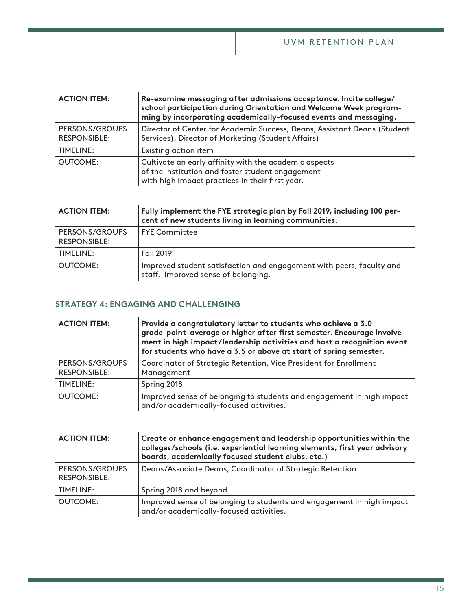| <b>ACTION ITEM:</b>                   | Re-examine messaging after admissions acceptance. Incite college/<br>school participation during Orientation and Welcome Week program-<br>ming by incorporating academically-focused events and messaging. |
|---------------------------------------|------------------------------------------------------------------------------------------------------------------------------------------------------------------------------------------------------------|
| PERSONS/GROUPS<br><b>RESPONSIBLE:</b> | Director of Center for Academic Success, Deans, Assistant Deans (Student<br>Services), Director of Marketing (Student Affairs)                                                                             |
| TIMELINE:                             | Existing action item                                                                                                                                                                                       |
| <b>OUTCOME:</b>                       | Cultivate an early affinity with the academic aspects<br>of the institution and foster student engagement<br>with high impact practices in their first year.                                               |

| <b>ACTION ITEM:</b>                   | Fully implement the FYE strategic plan by Fall 2019, including 100 per-<br>cent of new students living in learning communities. |
|---------------------------------------|---------------------------------------------------------------------------------------------------------------------------------|
| PERSONS/GROUPS<br><b>RESPONSIBLE:</b> | l FYE Committee                                                                                                                 |
| <b>TIMELINE:</b>                      | Fall 2019                                                                                                                       |
| <b>OUTCOME:</b>                       | Improved student satisfaction and engagement with peers, faculty and<br>staff. Improved sense of belonging.                     |

## **STRATEGY 4: ENGAGING AND CHALLENGING**

 $\mathbf{r}$ 

| <b>ACTION ITEM:</b>                   | Provide a congratulatory letter to students who achieve a 3.0<br>grade-point-average or higher after first semester. Encourage involve-<br>ment in high impact/leadership activities and host a recognition event<br>for students who have a 3.5 or above at start of spring semester. |
|---------------------------------------|----------------------------------------------------------------------------------------------------------------------------------------------------------------------------------------------------------------------------------------------------------------------------------------|
| PERSONS/GROUPS<br><b>RESPONSIBLE:</b> | Coordinator of Strategic Retention, Vice President for Enrollment<br>Management                                                                                                                                                                                                        |
| <b>TIMELINE:</b>                      | Spring 2018                                                                                                                                                                                                                                                                            |
| <b>OUTCOME:</b>                       | Improved sense of belonging to students and engagement in high impact<br>and/or academically-focused activities.                                                                                                                                                                       |

| <b>ACTION ITEM:</b>                   | Create or enhance engagement and leadership opportunities within the<br>colleges/schools (i.e. experiential learning elements, first year advisory<br>boards, academically focused student clubs, etc.) |
|---------------------------------------|---------------------------------------------------------------------------------------------------------------------------------------------------------------------------------------------------------|
| PERSONS/GROUPS<br><b>RESPONSIBLE:</b> | Deans/Associate Deans, Coordinator of Strategic Retention                                                                                                                                               |
| TIMELINE:                             | Spring 2018 and beyond                                                                                                                                                                                  |
| <b>OUTCOME:</b>                       | Improved sense of belonging to students and engagement in high impact<br>and/or academically-focused activities.                                                                                        |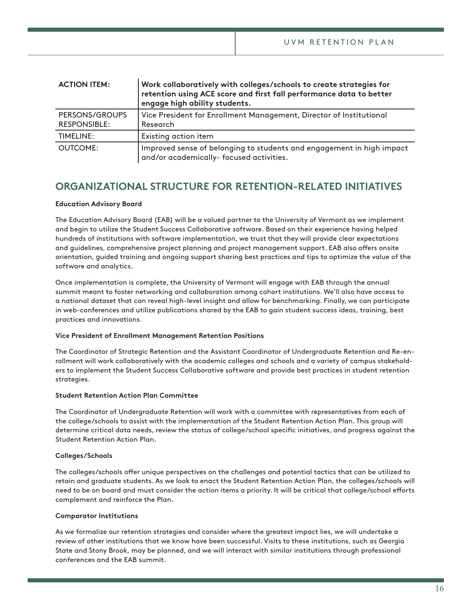| <b>ACTION ITEM:</b>                   | Work collaboratively with colleges/schools to create strategies for<br>retention using ACE score and first fall performance data to better<br>engage high ability students. |
|---------------------------------------|-----------------------------------------------------------------------------------------------------------------------------------------------------------------------------|
| PERSONS/GROUPS<br><b>RESPONSIBLE:</b> | Vice President for Enrollment Management, Director of Institutional<br>Research                                                                                             |
| <b>TIMELINE:</b>                      | Existing action item                                                                                                                                                        |
| <b>OUTCOME:</b>                       | Improved sense of belonging to students and engagement in high impact<br>and/or academically- focused activities.                                                           |

## **ORGANIZATIONAL STRUCTURE FOR RETENTION-RELATED INITIATIVES**

## **Education Advisory Board**

The Education Advisory Board (EAB) will be a valued partner to the University of Vermont as we implement and begin to utilize the Student Success Collaborative software. Based on their experience having helped hundreds of institutions with software implementation, we trust that they will provide clear expectations and guidelines, comprehensive project planning and project management support. EAB also ofers onsite orientation, guided training and ongoing support sharing best practices and tips to optimize the value of the software and analytics.

Once implementation is complete, the University of Vermont will engage with EAB through the annual summit meant to foster networking and collaboration among cohort institutions. We'll also have access to a national dataset that can reveal high-level insight and allow for benchmarking. Finally, we can participate in web-conferences and utilize publications shared by the EAB to gain student success ideas, training, best practices and innovations.

## **Vice President of Enrollment Management Retention Positions**

The Coordinator of Strategic Retention and the Assistant Coordinator of Undergraduate Retention and Re-enrollment will work collaboratively with the academic colleges and schools and a variety of campus stakeholders to implement the Student Success Collaborative software and provide best practices in student retention strategies.

## **Student Retention Action Plan Committee**

The Coordinator of Undergraduate Retention will work with a committee with representatives from each of the college/schools to assist with the implementation of the Student Retention Action Plan. This group will determine critical data needs, review the status of college/school specifc initiatives, and progress against the Student Retention Action Plan.

## **Colleges/Schools**

The colleges/schools ofer unique perspectives on the challenges and potential tactics that can be utilized to retain and graduate students. As we look to enact the Student Retention Action Plan, the colleges/schools will need to be on board and must consider the action items a priority. It will be critical that college/school eforts complement and reinforce the Plan.

## **Comparator Institutions**

As we formalize our retention strategies and consider where the greatest impact lies, we will undertake a review of other institutions that we know have been successful. Visits to these institutions, such as Georgia State and Stony Brook, may be planned, and we will interact with similar institutions through professional conferences and the EAB summit.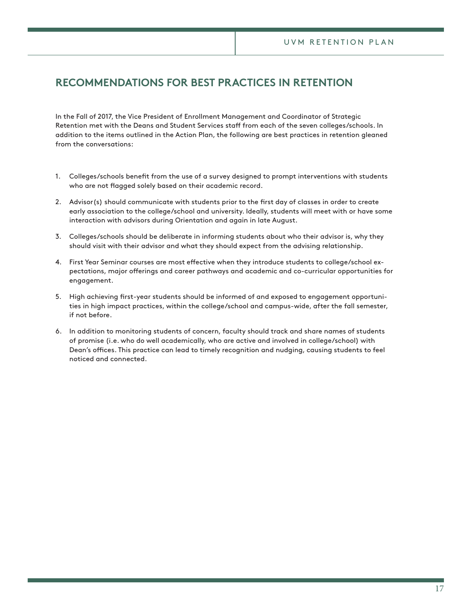# **RECOMMENDATIONS FOR BEST PRACTICES IN RETENTION**

In the Fall of 2017, the Vice President of Enrollment Management and Coordinator of Strategic Retention met with the Deans and Student Services staff from each of the seven colleges/schools. In addition to the items outlined in the Action Plan, the following are best practices in retention gleaned from the conversations:

- 1. Colleges/schools benefit from the use of a survey designed to prompt interventions with students who are not flagged solely based on their academic record.
- 2. Advisor(s) should communicate with students prior to the frst day of classes in order to create early association to the college/school and university. Ideally, students will meet with or have some interaction with advisors during Orientation and again in late August.
- 3. Colleges/schools should be deliberate in informing students about who their advisor is, why they should visit with their advisor and what they should expect from the advising relationship.
- 4. First Year Seminar courses are most efective when they introduce students to college/school expectations, major oferings and career pathways and academic and co-curricular opportunities for engagement.
- 5. High achieving frst-year students should be informed of and exposed to engagement opportunities in high impact practices, within the college/school and campus-wide, after the fall semester, if not before.
- 6. In addition to monitoring students of concern, faculty should track and share names of students of promise (i.e. who do well academically, who are active and involved in college/school) with Dean's offices. This practice can lead to timely recognition and nudging, causing students to feel noticed and connected.